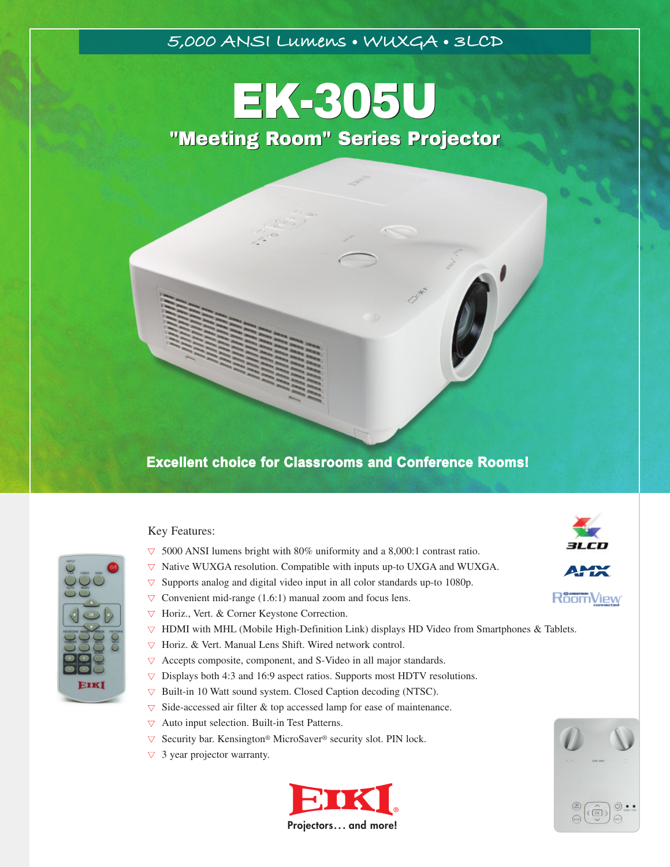## **5,000 ANSI Lumens • WUXGA • 3LCD**

# EK-305U EK-305U "Meeting Room" Series Projector "Meeting Room" Series Projector

# **Excellent choice for Classrooms and Conference Rooms!**

#### Key Features:

- **▼** 5000 ANSI lumens bright with 80% uniformity and a 8,000:1 contrast ratio.
- **▼** Native WUXGA resolution. Compatible with inputs up-to UXGA and WUXGA.
- **▼** Supports analog and digital video input in all color standards up-to 1080p.
- $\nabla$  Convenient mid-range (1.6:1) manual zoom and focus lens.
- **▼** Horiz., Vert. & Corner Keystone Correction.
- **▼** HDMI with MHL (Mobile High-Definition Link) displays HD Video from Smartphones & Tablets.
- **▼** Horiz. & Vert. Manual Lens Shift. Wired network control.
- **▼** Accepts composite, component, and S-Video in all major standards.
- **▼** Displays both 4:3 and 16:9 aspect ratios. Supports most HDTV resolutions.
- **▼** Built-in 10 Watt sound system. Closed Caption decoding (NTSC).
- **▼** Side-accessed air filter & top accessed lamp for ease of maintenance.
- **▼** Auto input selection. Built-in Test Patterns.
- **▼** Security bar. Kensington® MicroSaver® security slot. PIN lock.
- **▼** 3 year projector warranty.